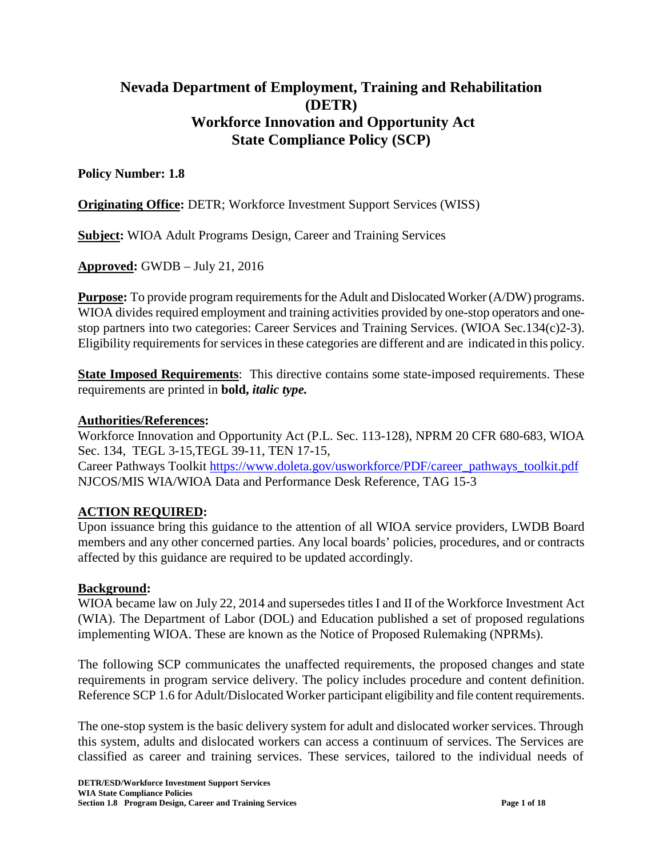# **Nevada Department of Employment, Training and Rehabilitation (DETR) Workforce Innovation and Opportunity Act State Compliance Policy (SCP)**

#### **Policy Number: 1.8**

**Originating Office: DETR**; Workforce Investment Support Services (WISS)

**Subject:** WIOA Adult Programs Design, Career and Training Services

**Approved:** GWDB – July 21, 2016

**Purpose:** To provide program requirements for the Adult and Dislocated Worker (A/DW) programs. WIOA divides required employment and training activities provided by one-stop operators and onestop partners into two categories: Career Services and Training Services. (WIOA Sec.134(c)2-3). Eligibility requirements for services in these categories are different and are indicated in this policy.

**State Imposed Requirements**: This directive contains some state-imposed requirements. These requirements are printed in **bold,** *italic type.*

#### **Authorities/References:**

Workforce Innovation and Opportunity Act (P.L. Sec. 113-128), NPRM 20 CFR 680-683, WIOA Sec. 134, TEGL 3-15,TEGL 39-11, TEN 17-15,

Career Pathways Toolkit [https://www.doleta.gov/usworkforce/PDF/career\\_pathways\\_toolkit.pdf](https://www.doleta.gov/usworkforce/PDF/career_pathways_toolkit.pdf) NJCOS/MIS WIA/WIOA Data and Performance Desk Reference, TAG 15-3

#### **ACTION REQUIRED:**

Upon issuance bring this guidance to the attention of all WIOA service providers, LWDB Board members and any other concerned parties. Any local boards' policies, procedures, and or contracts affected by this guidance are required to be updated accordingly.

#### **Background:**

WIOA became law on July 22, 2014 and supersedes titles I and II of the Workforce Investment Act (WIA). The Department of Labor (DOL) and Education published a set of proposed regulations implementing WIOA. These are known as the Notice of Proposed Rulemaking (NPRMs).

The following SCP communicates the unaffected requirements, the proposed changes and state requirements in program service delivery. The policy includes procedure and content definition. Reference SCP 1.6 for Adult/Dislocated Worker participant eligibility and file content requirements.

The one-stop system is the basic delivery system for adult and dislocated worker services. Through this system, adults and dislocated workers can access a continuum of services. The Services are classified as career and training services. These services, tailored to the individual needs of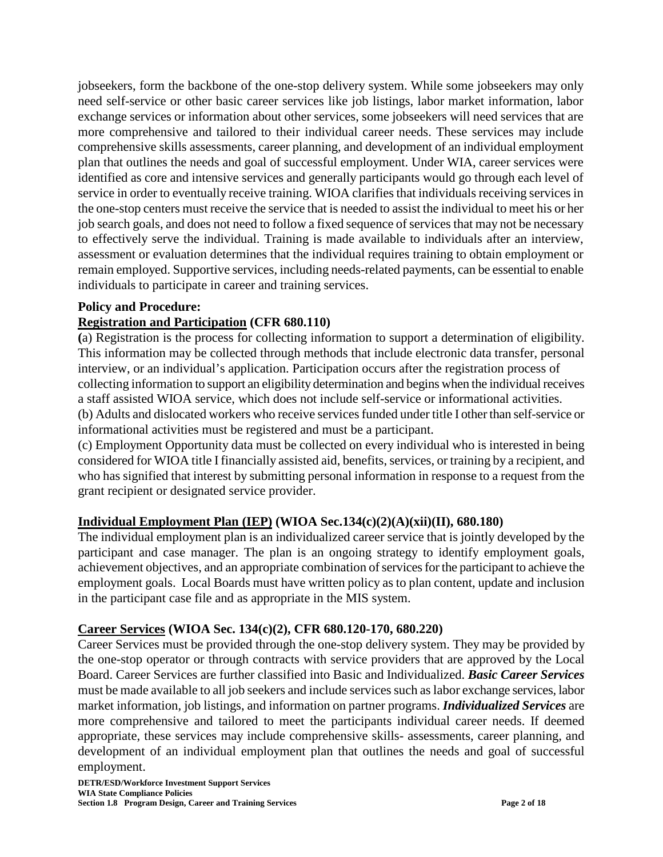jobseekers, form the backbone of the one-stop delivery system. While some jobseekers may only need self-service or other basic career services like job listings, labor market information, labor exchange services or information about other services, some jobseekers will need services that are more comprehensive and tailored to their individual career needs. These services may include comprehensive skills assessments, career planning, and development of an individual employment plan that outlines the needs and goal of successful employment. Under WIA, career services were identified as core and intensive services and generally participants would go through each level of service in order to eventually receive training. WIOA clarifies that individuals receiving services in the one-stop centers must receive the service that is needed to assist the individual to meet his or her job search goals, and does not need to follow a fixed sequence of services that may not be necessary to effectively serve the individual. Training is made available to individuals after an interview, assessment or evaluation determines that the individual requires training to obtain employment or remain employed. Supportive services, including needs-related payments, can be essential to enable individuals to participate in career and training services.

### **Policy and Procedure:**

#### **Registration and Participation (CFR 680.110)**

**(**a) Registration is the process for collecting information to support a determination of eligibility. This information may be collected through methods that include electronic data transfer, personal interview, or an individual's application. Participation occurs after the registration process of collecting information to support an eligibility determination and begins when the individual receives a staff assisted WIOA service, which does not include self-service or informational activities. (b) Adults and dislocated workers who receive services funded under title I other than self-service or informational activities must be registered and must be a participant.

(c) Employment Opportunity data must be collected on every individual who is interested in being considered for WIOA title I financially assisted aid, benefits, services, or training by a recipient, and who has signified that interest by submitting personal information in response to a request from the grant recipient or designated service provider.

### **Individual Employment Plan (IEP) (WIOA Sec.134(c)(2)(A)(xii)(II), 680.180)**

The individual employment plan is an individualized career service that is jointly developed by the participant and case manager. The plan is an ongoing strategy to identify employment goals, achievement objectives, and an appropriate combination of services for the participant to achieve the employment goals. Local Boards must have written policy as to plan content, update and inclusion in the participant case file and as appropriate in the MIS system.

### **Career Services (WIOA Sec. 134(c)(2), CFR 680.120-170, 680.220)**

Career Services must be provided through the one-stop delivery system. They may be provided by the one-stop operator or through contracts with service providers that are approved by the Local Board. Career Services are further classified into Basic and Individualized. *Basic Career Services* must be made available to all job seekers and include services such as labor exchange services, labor market information, job listings, and information on partner programs. *Individualized Services* are more comprehensive and tailored to meet the participants individual career needs. If deemed appropriate, these services may include comprehensive skills- assessments, career planning, and development of an individual employment plan that outlines the needs and goal of successful employment.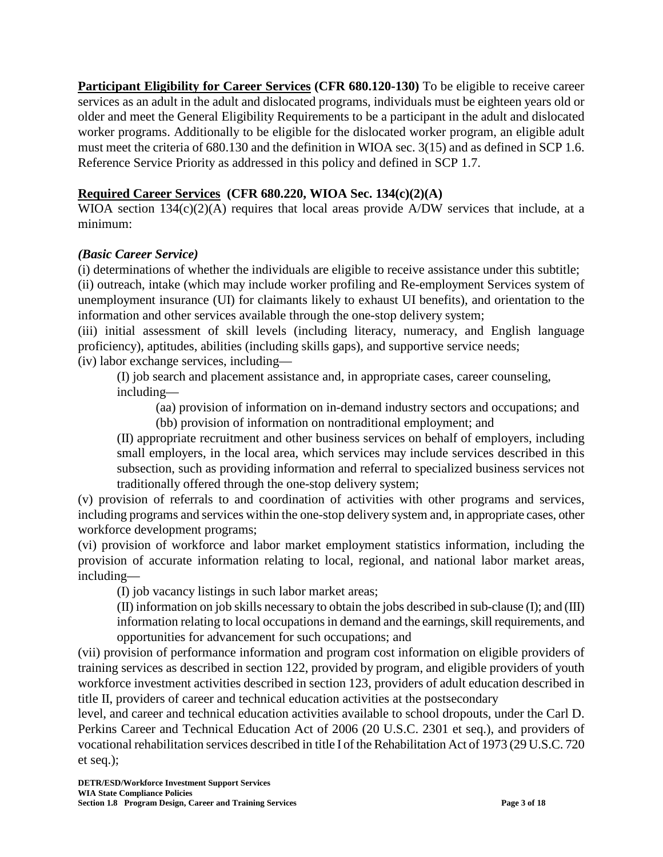**Participant Eligibility for Career Services (CFR 680.120-130)** To be eligible to receive career services as an adult in the adult and dislocated programs, individuals must be eighteen years old or older and meet the General Eligibility Requirements to be a participant in the adult and dislocated worker programs. Additionally to be eligible for the dislocated worker program, an eligible adult must meet the criteria of 680.130 and the definition in WIOA sec. 3(15) and as defined in SCP 1.6. Reference Service Priority as addressed in this policy and defined in SCP 1.7.

# **Required Career Services (CFR 680.220, WIOA Sec. 134(c)(2)(A)**

WIOA section 134(c)(2)(A) requires that local areas provide A/DW services that include, at a minimum:

### *(Basic Career Service)*

(i) determinations of whether the individuals are eligible to receive assistance under this subtitle; (ii) outreach, intake (which may include worker profiling and Re-employment Services system of unemployment insurance (UI) for claimants likely to exhaust UI benefits), and orientation to the information and other services available through the one-stop delivery system;

(iii) initial assessment of skill levels (including literacy, numeracy, and English language proficiency), aptitudes, abilities (including skills gaps), and supportive service needs;

(iv) labor exchange services, including—

(I) job search and placement assistance and, in appropriate cases, career counseling, including—

(aa) provision of information on in-demand industry sectors and occupations; and

(bb) provision of information on nontraditional employment; and

(II) appropriate recruitment and other business services on behalf of employers, including small employers, in the local area, which services may include services described in this subsection, such as providing information and referral to specialized business services not traditionally offered through the one-stop delivery system;

(v) provision of referrals to and coordination of activities with other programs and services, including programs and services within the one-stop delivery system and, in appropriate cases, other workforce development programs;

(vi) provision of workforce and labor market employment statistics information, including the provision of accurate information relating to local, regional, and national labor market areas, including—

(I) job vacancy listings in such labor market areas;

(II) information on job skills necessary to obtain the jobs described in sub-clause (I); and (III) information relating to local occupations in demand and the earnings, skill requirements, and opportunities for advancement for such occupations; and

(vii) provision of performance information and program cost information on eligible providers of training services as described in section 122, provided by program, and eligible providers of youth workforce investment activities described in section 123, providers of adult education described in title II, providers of career and technical education activities at the postsecondary

level, and career and technical education activities available to school dropouts, under the Carl D. Perkins Career and Technical Education Act of 2006 (20 U.S.C. 2301 et seq.), and providers of vocational rehabilitation services described in title I of the Rehabilitation Act of 1973 (29 U.S.C. 720 et seq.);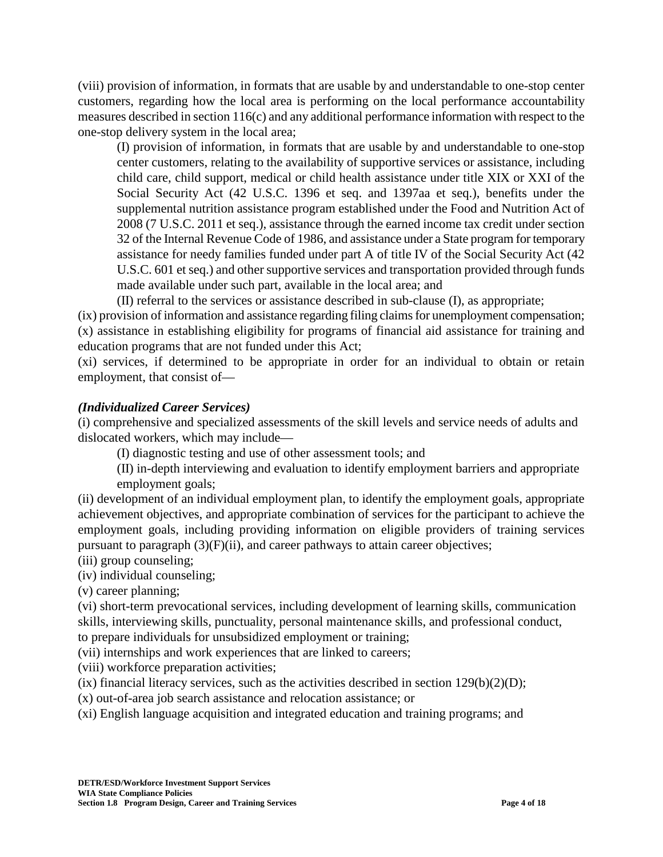(viii) provision of information, in formats that are usable by and understandable to one-stop center customers, regarding how the local area is performing on the local performance accountability measures described in section 116(c) and any additional performance information with respect to the one-stop delivery system in the local area;

(I) provision of information, in formats that are usable by and understandable to one-stop center customers, relating to the availability of supportive services or assistance, including child care, child support, medical or child health assistance under title XIX or XXI of the Social Security Act (42 U.S.C. 1396 et seq. and 1397aa et seq.), benefits under the supplemental nutrition assistance program established under the Food and Nutrition Act of 2008 (7 U.S.C. 2011 et seq.), assistance through the earned income tax credit under section 32 of the Internal Revenue Code of 1986, and assistance under a State program for temporary assistance for needy families funded under part A of title IV of the Social Security Act (42 U.S.C. 601 et seq.) and other supportive services and transportation provided through funds made available under such part, available in the local area; and

(II) referral to the services or assistance described in sub-clause (I), as appropriate;

(ix) provision of information and assistance regarding filing claims for unemployment compensation; (x) assistance in establishing eligibility for programs of financial aid assistance for training and education programs that are not funded under this Act;

(xi) services, if determined to be appropriate in order for an individual to obtain or retain employment, that consist of—

### *(Individualized Career Services)*

(i) comprehensive and specialized assessments of the skill levels and service needs of adults and dislocated workers, which may include—

(I) diagnostic testing and use of other assessment tools; and

(II) in-depth interviewing and evaluation to identify employment barriers and appropriate employment goals;

(ii) development of an individual employment plan, to identify the employment goals, appropriate achievement objectives, and appropriate combination of services for the participant to achieve the employment goals, including providing information on eligible providers of training services pursuant to paragraph (3)(F)(ii), and career pathways to attain career objectives;

(iii) group counseling;

(iv) individual counseling;

(v) career planning;

(vi) short-term prevocational services, including development of learning skills, communication skills, interviewing skills, punctuality, personal maintenance skills, and professional conduct, to prepare individuals for unsubsidized employment or training;

(vii) internships and work experiences that are linked to careers;

(viii) workforce preparation activities;

(ix) financial literacy services, such as the activities described in section  $129(b)(2)(D)$ ;

(x) out-of-area job search assistance and relocation assistance; or

(xi) English language acquisition and integrated education and training programs; and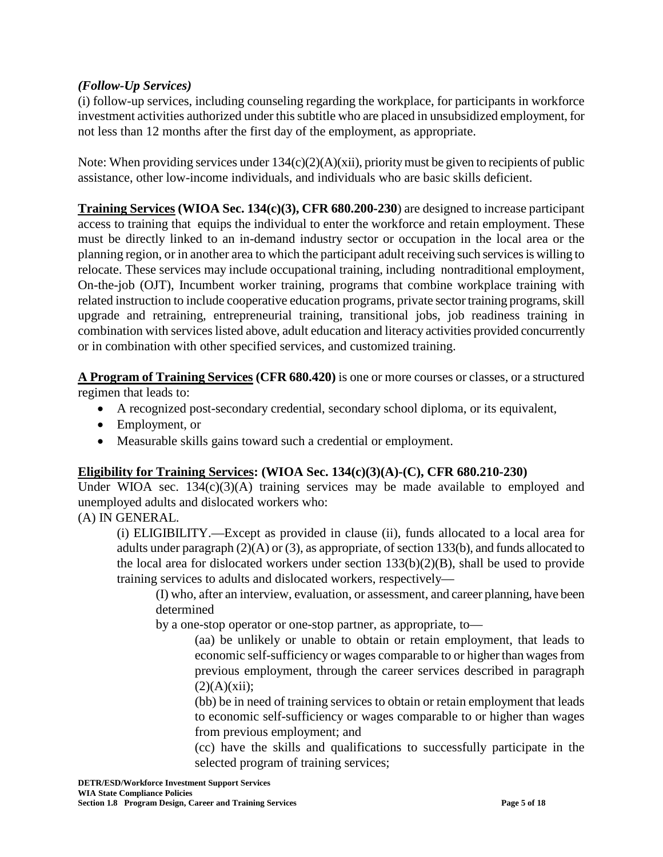### *(Follow-Up Services)*

(i) follow-up services, including counseling regarding the workplace, for participants in workforce investment activities authorized under this subtitle who are placed in unsubsidized employment, for not less than 12 months after the first day of the employment, as appropriate.

Note: When providing services under  $134(c)(2)(A)(xii)$ , priority must be given to recipients of public assistance, other low-income individuals, and individuals who are basic skills deficient.

**Training Services (WIOA Sec. 134(c)(3), CFR 680.200-230**) are designed to increase participant access to training that equips the individual to enter the workforce and retain employment. These must be directly linked to an in-demand industry sector or occupation in the local area or the planning region, or in another area to which the participant adult receiving such services is willing to relocate. These services may include occupational training, including nontraditional employment, On-the-job (OJT), Incumbent worker training, programs that combine workplace training with related instruction to include cooperative education programs, private sector training programs, skill upgrade and retraining, entrepreneurial training, transitional jobs, job readiness training in combination with services listed above, adult education and literacy activities provided concurrently or in combination with other specified services, and customized training.

**A Program of Training Services (CFR 680.420)** is one or more courses or classes, or a structured regimen that leads to:

- A recognized post-secondary credential, secondary school diploma, or its equivalent,
- Employment, or
- Measurable skills gains toward such a credential or employment.

### **Eligibility for Training Services: (WIOA Sec. 134(c)(3)(A)-(C), CFR 680.210-230)**

Under WIOA sec. 134(c)(3)(A) training services may be made available to employed and unemployed adults and dislocated workers who:

(A) IN GENERAL.

(i) ELIGIBILITY.—Except as provided in clause (ii), funds allocated to a local area for adults under paragraph  $(2)(A)$  or  $(3)$ , as appropriate, of section 133(b), and funds allocated to the local area for dislocated workers under section  $133(b)(2)(B)$ , shall be used to provide training services to adults and dislocated workers, respectively—

(I) who, after an interview, evaluation, or assessment, and career planning, have been determined

by a one-stop operator or one-stop partner, as appropriate, to—

(aa) be unlikely or unable to obtain or retain employment, that leads to economic self-sufficiency or wages comparable to or higher than wages from previous employment, through the career services described in paragraph  $(2)(A)(xii);$ 

(bb) be in need of training services to obtain or retain employment that leads to economic self-sufficiency or wages comparable to or higher than wages from previous employment; and

(cc) have the skills and qualifications to successfully participate in the selected program of training services;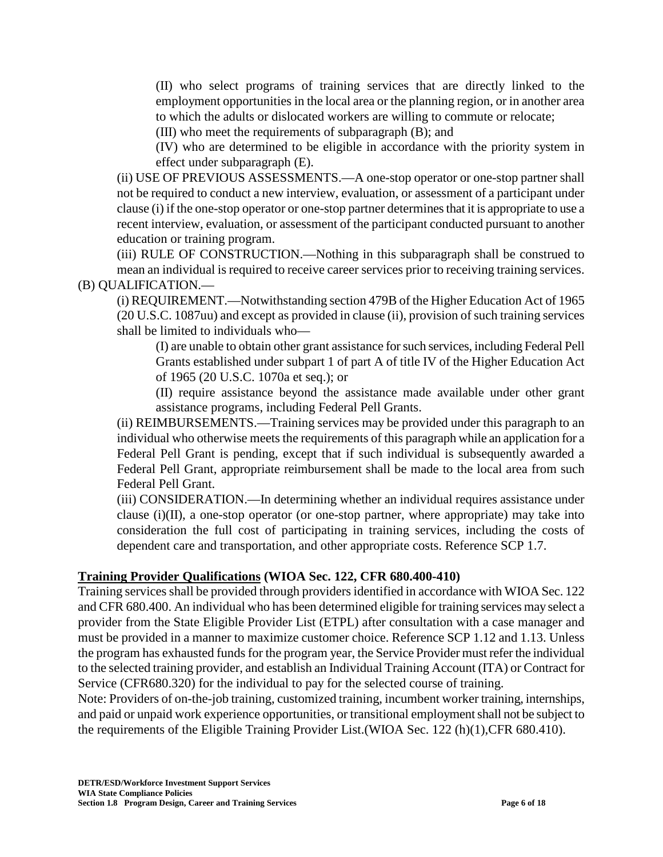(II) who select programs of training services that are directly linked to the employment opportunities in the local area or the planning region, or in another area to which the adults or dislocated workers are willing to commute or relocate;

(III) who meet the requirements of subparagraph (B); and

(IV) who are determined to be eligible in accordance with the priority system in effect under subparagraph (E).

(ii) USE OF PREVIOUS ASSESSMENTS.—A one-stop operator or one-stop partner shall not be required to conduct a new interview, evaluation, or assessment of a participant under clause (i) if the one-stop operator or one-stop partner determines that it is appropriate to use a recent interview, evaluation, or assessment of the participant conducted pursuant to another education or training program.

(iii) RULE OF CONSTRUCTION.—Nothing in this subparagraph shall be construed to mean an individual is required to receive career services prior to receiving training services. (B) QUALIFICATION.—

(i) REQUIREMENT.—Notwithstanding section 479B of the Higher Education Act of 1965 (20 U.S.C. 1087uu) and except as provided in clause (ii), provision of such training services shall be limited to individuals who—

(I) are unable to obtain other grant assistance for such services, including Federal Pell Grants established under subpart 1 of part A of title IV of the Higher Education Act of 1965 (20 U.S.C. 1070a et seq.); or

(II) require assistance beyond the assistance made available under other grant assistance programs, including Federal Pell Grants.

(ii) REIMBURSEMENTS.—Training services may be provided under this paragraph to an individual who otherwise meets the requirements of this paragraph while an application for a Federal Pell Grant is pending, except that if such individual is subsequently awarded a Federal Pell Grant, appropriate reimbursement shall be made to the local area from such Federal Pell Grant.

(iii) CONSIDERATION.—In determining whether an individual requires assistance under clause (i)(II), a one-stop operator (or one-stop partner, where appropriate) may take into consideration the full cost of participating in training services, including the costs of dependent care and transportation, and other appropriate costs. Reference SCP 1.7.

### **Training Provider Qualifications (WIOA Sec. 122, CFR 680.400-410)**

Training services shall be provided through providers identified in accordance with WIOA Sec. 122 and CFR 680.400. An individual who has been determined eligible for training services may select a provider from the State Eligible Provider List (ETPL) after consultation with a case manager and must be provided in a manner to maximize customer choice. Reference SCP 1.12 and 1.13. Unless the program has exhausted funds for the program year, the Service Provider must refer the individual to the selected training provider, and establish an Individual Training Account (ITA) or Contract for Service (CFR680.320) for the individual to pay for the selected course of training.

Note: Providers of on-the-job training, customized training, incumbent worker training, internships, and paid or unpaid work experience opportunities, or transitional employment shall not be subject to the requirements of the Eligible Training Provider List.(WIOA Sec. 122 (h)(1),CFR 680.410).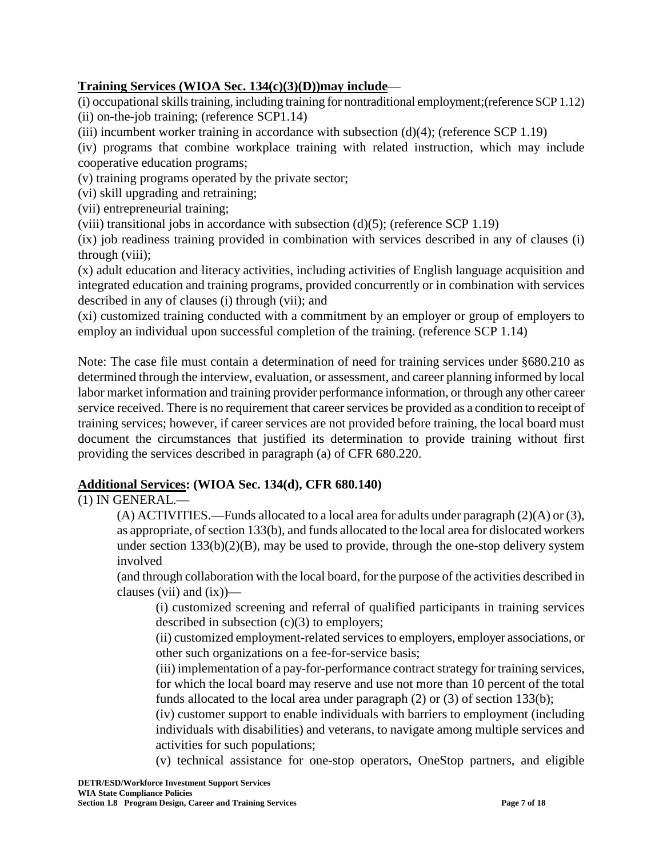### **Training Services (WIOA Sec. 134(c)(3)(D))may include**—

(i) occupational skills training, including training for nontraditional employment;(reference SCP 1.12) (ii) on-the-job training; (reference SCP1.14)

(iii) incumbent worker training in accordance with subsection  $(d)(4)$ ; (reference SCP 1.19)

(iv) programs that combine workplace training with related instruction, which may include cooperative education programs;

(v) training programs operated by the private sector;

(vi) skill upgrading and retraining;

(vii) entrepreneurial training;

(viii) transitional jobs in accordance with subsection  $(d)(5)$ ; (reference SCP 1.19)

(ix) job readiness training provided in combination with services described in any of clauses (i) through (viii);

(x) adult education and literacy activities, including activities of English language acquisition and integrated education and training programs, provided concurrently or in combination with services described in any of clauses (i) through (vii); and

(xi) customized training conducted with a commitment by an employer or group of employers to employ an individual upon successful completion of the training. (reference SCP 1.14)

Note: The case file must contain a determination of need for training services under §680.210 as determined through the interview, evaluation, or assessment, and career planning informed by local labor market information and training provider performance information, or through any other career service received. There is no requirement that career services be provided as a condition to receipt of training services; however, if career services are not provided before training, the local board must document the circumstances that justified its determination to provide training without first providing the services described in paragraph (a) of CFR 680.220.

# **Additional Services: (WIOA Sec. 134(d), CFR 680.140)**

# (1) IN GENERAL.—

(A) ACTIVITIES.—Funds allocated to a local area for adults under paragraph (2)(A) or (3), as appropriate, of section 133(b), and funds allocated to the local area for dislocated workers under section 133(b)(2)(B), may be used to provide, through the one-stop delivery system involved

(and through collaboration with the local board, for the purpose of the activities described in clauses (vii) and  $(ix)$ )—

(i) customized screening and referral of qualified participants in training services described in subsection (c)(3) to employers;

(ii) customized employment-related services to employers, employer associations, or other such organizations on a fee-for-service basis;

(iii) implementation of a pay-for-performance contract strategy for training services, for which the local board may reserve and use not more than 10 percent of the total funds allocated to the local area under paragraph (2) or (3) of section 133(b);

(iv) customer support to enable individuals with barriers to employment (including individuals with disabilities) and veterans, to navigate among multiple services and activities for such populations;

(v) technical assistance for one-stop operators, OneStop partners, and eligible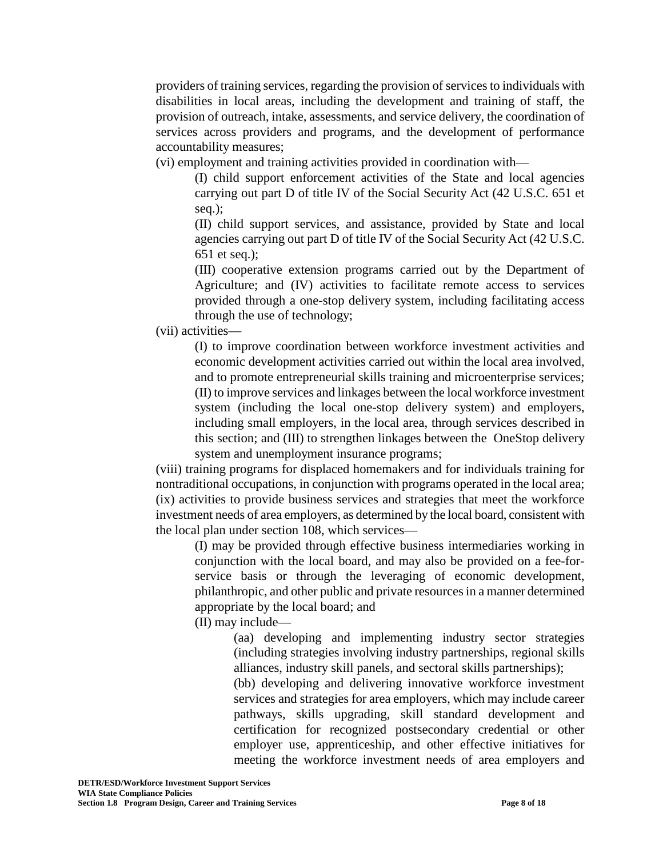providers of training services, regarding the provision of services to individuals with disabilities in local areas, including the development and training of staff, the provision of outreach, intake, assessments, and service delivery, the coordination of services across providers and programs, and the development of performance accountability measures;

(vi) employment and training activities provided in coordination with—

(I) child support enforcement activities of the State and local agencies carrying out part D of title IV of the Social Security Act (42 U.S.C. 651 et seq.);

(II) child support services, and assistance, provided by State and local agencies carrying out part D of title IV of the Social Security Act (42 U.S.C. 651 et seq.);

(III) cooperative extension programs carried out by the Department of Agriculture; and (IV) activities to facilitate remote access to services provided through a one-stop delivery system, including facilitating access through the use of technology;

(vii) activities—

(I) to improve coordination between workforce investment activities and economic development activities carried out within the local area involved, and to promote entrepreneurial skills training and microenterprise services; (II) to improve services and linkages between the local workforce investment system (including the local one-stop delivery system) and employers, including small employers, in the local area, through services described in this section; and (III) to strengthen linkages between the OneStop delivery system and unemployment insurance programs;

(viii) training programs for displaced homemakers and for individuals training for nontraditional occupations, in conjunction with programs operated in the local area; (ix) activities to provide business services and strategies that meet the workforce investment needs of area employers, as determined by the local board, consistent with the local plan under section 108, which services—

(I) may be provided through effective business intermediaries working in conjunction with the local board, and may also be provided on a fee-forservice basis or through the leveraging of economic development, philanthropic, and other public and private resources in a manner determined appropriate by the local board; and

(II) may include—

(aa) developing and implementing industry sector strategies (including strategies involving industry partnerships, regional skills alliances, industry skill panels, and sectoral skills partnerships);

(bb) developing and delivering innovative workforce investment services and strategies for area employers, which may include career pathways, skills upgrading, skill standard development and certification for recognized postsecondary credential or other employer use, apprenticeship, and other effective initiatives for meeting the workforce investment needs of area employers and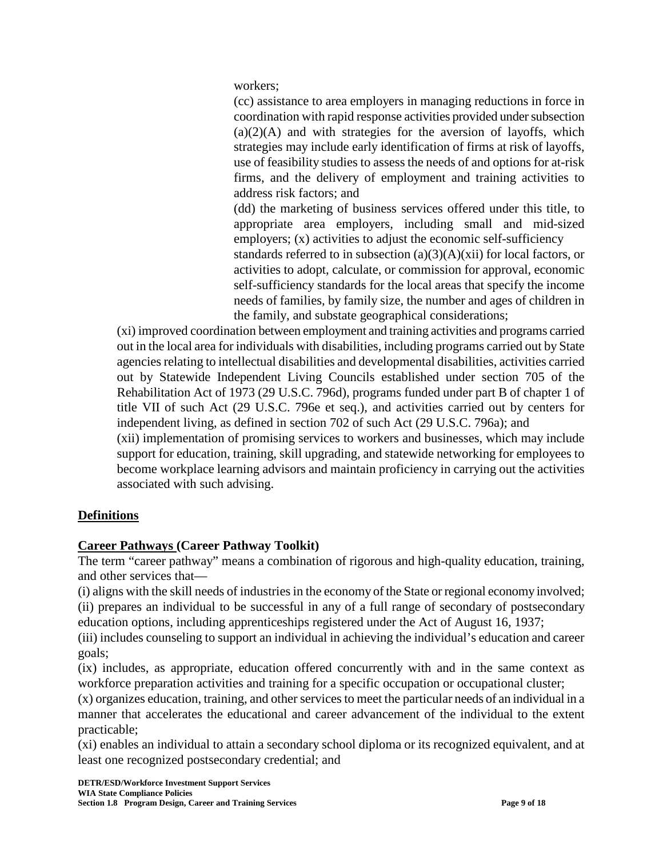workers;

(cc) assistance to area employers in managing reductions in force in coordination with rapid response activities provided under subsection  $(a)(2)(A)$  and with strategies for the aversion of layoffs, which strategies may include early identification of firms at risk of layoffs, use of feasibility studies to assess the needs of and options for at-risk firms, and the delivery of employment and training activities to address risk factors; and

(dd) the marketing of business services offered under this title, to appropriate area employers, including small and mid-sized employers; (x) activities to adjust the economic self-sufficiency

standards referred to in subsection  $(a)(3)(A)(xii)$  for local factors, or activities to adopt, calculate, or commission for approval, economic self-sufficiency standards for the local areas that specify the income needs of families, by family size, the number and ages of children in the family, and substate geographical considerations;

(xi) improved coordination between employment and training activities and programs carried out in the local area for individuals with disabilities, including programs carried out by State agencies relating to intellectual disabilities and developmental disabilities, activities carried out by Statewide Independent Living Councils established under section 705 of the Rehabilitation Act of 1973 (29 U.S.C. 796d), programs funded under part B of chapter 1 of title VII of such Act (29 U.S.C. 796e et seq.), and activities carried out by centers for independent living, as defined in section 702 of such Act (29 U.S.C. 796a); and

(xii) implementation of promising services to workers and businesses, which may include support for education, training, skill upgrading, and statewide networking for employees to become workplace learning advisors and maintain proficiency in carrying out the activities associated with such advising.

# **Definitions**

# **Career Pathways (Career Pathway Toolkit)**

The term "career pathway" means a combination of rigorous and high-quality education, training, and other services that—

(i) aligns with the skill needs of industries in the economy of the State or regional economy involved; (ii) prepares an individual to be successful in any of a full range of secondary of postsecondary education options, including apprenticeships registered under the Act of August 16, 1937;

(iii) includes counseling to support an individual in achieving the individual's education and career goals;

(ix) includes, as appropriate, education offered concurrently with and in the same context as workforce preparation activities and training for a specific occupation or occupational cluster;

(x) organizes education, training, and other services to meet the particular needs of an individual in a manner that accelerates the educational and career advancement of the individual to the extent practicable;

(xi) enables an individual to attain a secondary school diploma or its recognized equivalent, and at least one recognized postsecondary credential; and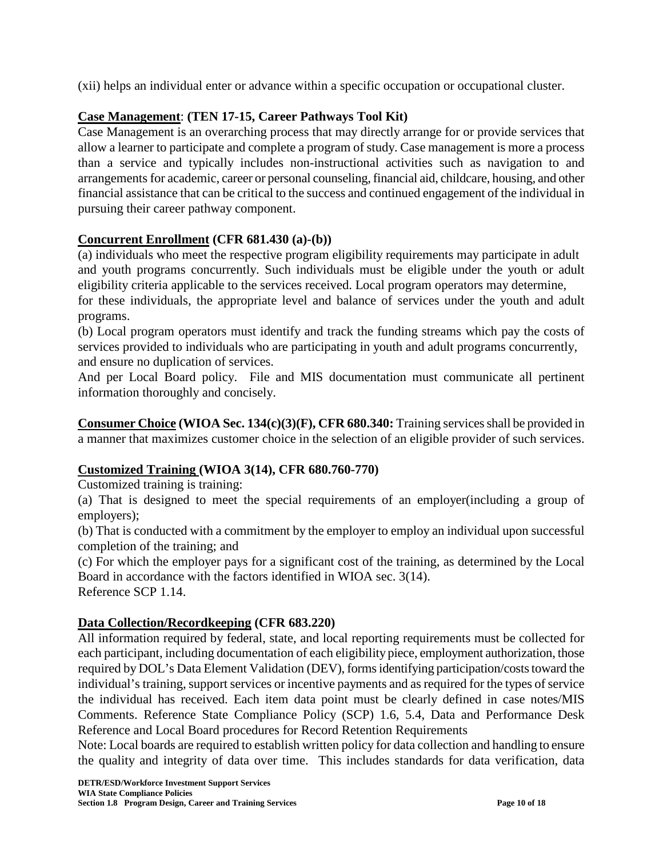(xii) helps an individual enter or advance within a specific occupation or occupational cluster.

# **Case Management**: **(TEN 17-15, Career Pathways Tool Kit)**

Case Management is an overarching process that may directly arrange for or provide services that allow a learner to participate and complete a program of study. Case management is more a process than a service and typically includes non-instructional activities such as navigation to and arrangements for academic, career or personal counseling, financial aid, childcare, housing, and other financial assistance that can be critical to the success and continued engagement of the individual in pursuing their career pathway component.

# **Concurrent Enrollment (CFR 681.430 (a)-(b))**

(a) individuals who meet the respective program eligibility requirements may participate in adult and youth programs concurrently. Such individuals must be eligible under the youth or adult eligibility criteria applicable to the services received. Local program operators may determine, for these individuals, the appropriate level and balance of services under the youth and adult programs.

(b) Local program operators must identify and track the funding streams which pay the costs of services provided to individuals who are participating in youth and adult programs concurrently, and ensure no duplication of services.

And per Local Board policy. File and MIS documentation must communicate all pertinent information thoroughly and concisely.

**Consumer Choice (WIOA Sec. 134(c)(3)(F), CFR 680.340:** Training services shall be provided in a manner that maximizes customer choice in the selection of an eligible provider of such services.

# **Customized Training (WIOA 3(14), CFR 680.760-770)**

Customized training is training:

(a) That is designed to meet the special requirements of an employer(including a group of employers);

(b) That is conducted with a commitment by the employer to employ an individual upon successful completion of the training; and

(c) For which the employer pays for a significant cost of the training, as determined by the Local Board in accordance with the factors identified in WIOA sec. 3(14). Reference SCP 1.14.

### **Data Collection/Recordkeeping (CFR 683.220)**

All information required by federal, state, and local reporting requirements must be collected for each participant, including documentation of each eligibility piece, employment authorization, those required by DOL's Data Element Validation (DEV), forms identifying participation/costs toward the individual's training, support services or incentive payments and as required for the types of service the individual has received. Each item data point must be clearly defined in case notes/MIS Comments. Reference State Compliance Policy (SCP) 1.6, 5.4, Data and Performance Desk Reference and Local Board procedures for Record Retention Requirements

Note: Local boards are required to establish written policy for data collection and handling to ensure the quality and integrity of data over time. This includes standards for data verification, data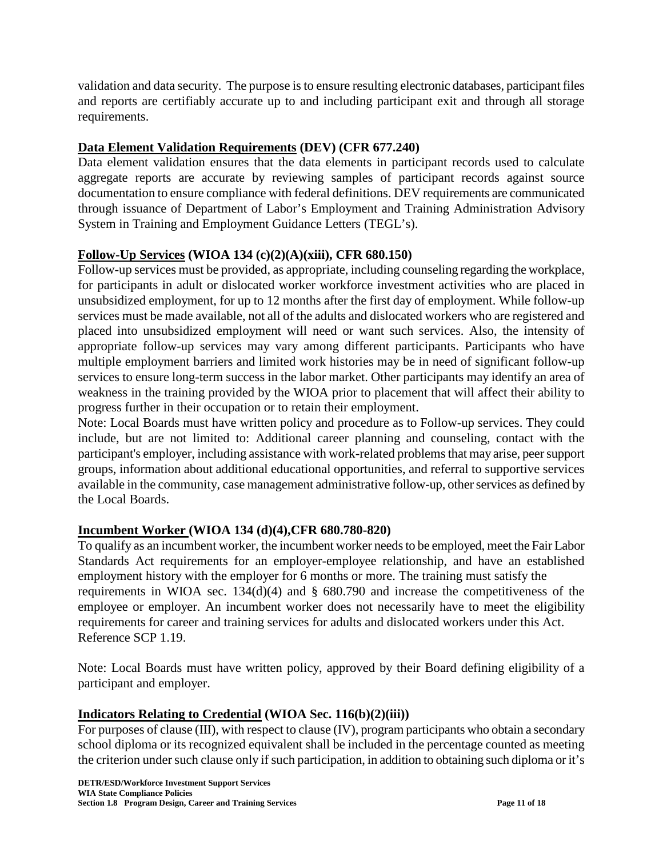validation and data security. The purpose is to ensure resulting electronic databases, participant files and reports are certifiably accurate up to and including participant exit and through all storage requirements.

# **Data Element Validation Requirements (DEV) (CFR 677.240)**

Data element validation ensures that the data elements in participant records used to calculate aggregate reports are accurate by reviewing samples of participant records against source documentation to ensure compliance with federal definitions. DEV requirements are communicated through issuance of Department of Labor's Employment and Training Administration Advisory System in Training and Employment Guidance Letters (TEGL's).

### **Follow-Up Services (WIOA 134 (c)(2)(A)(xiii), CFR 680.150)**

Follow-up services must be provided, as appropriate, including counseling regarding the workplace, for participants in adult or dislocated worker workforce investment activities who are placed in unsubsidized employment, for up to 12 months after the first day of employment. While follow-up services must be made available, not all of the adults and dislocated workers who are registered and placed into unsubsidized employment will need or want such services. Also, the intensity of appropriate follow-up services may vary among different participants. Participants who have multiple employment barriers and limited work histories may be in need of significant follow-up services to ensure long-term success in the labor market. Other participants may identify an area of weakness in the training provided by the WIOA prior to placement that will affect their ability to progress further in their occupation or to retain their employment.

Note: Local Boards must have written policy and procedure as to Follow-up services. They could include, but are not limited to: Additional career planning and counseling, contact with the participant's employer, including assistance with work-related problems that may arise, peer support groups, information about additional educational opportunities, and referral to supportive services available in the community, case management administrative follow-up, other services as defined by the Local Boards.

### **Incumbent Worker (WIOA 134 (d)(4),CFR 680.780-820)**

To qualify as an incumbent worker, the incumbent worker needs to be employed, meet the Fair Labor Standards Act requirements for an employer-employee relationship, and have an established employment history with the employer for 6 months or more. The training must satisfy the requirements in WIOA sec.  $134(d)(4)$  and § 680.790 and increase the competitiveness of the employee or employer. An incumbent worker does not necessarily have to meet the eligibility requirements for career and training services for adults and dislocated workers under this Act. Reference SCP 1.19.

Note: Local Boards must have written policy, approved by their Board defining eligibility of a participant and employer.

### **Indicators Relating to Credential (WIOA Sec. 116(b)(2)(iii))**

For purposes of clause (III), with respect to clause (IV), program participants who obtain a secondary school diploma or its recognized equivalent shall be included in the percentage counted as meeting the criterion under such clause only if such participation, in addition to obtaining such diploma or it's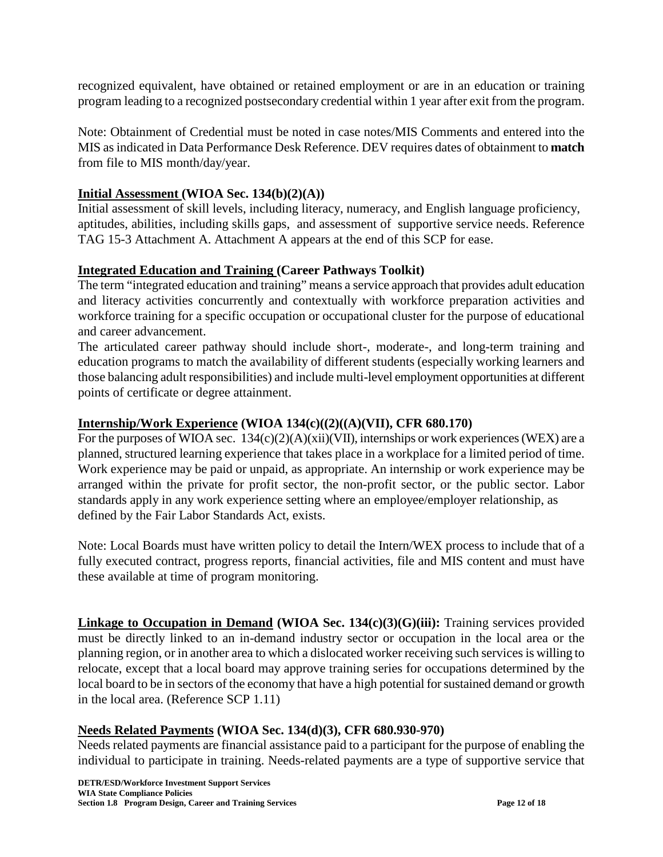recognized equivalent, have obtained or retained employment or are in an education or training program leading to a recognized postsecondary credential within 1 year after exit from the program.

Note: Obtainment of Credential must be noted in case notes/MIS Comments and entered into the MIS as indicated in Data Performance Desk Reference. DEV requires dates of obtainment to **match** from file to MIS month/day/year.

### **Initial Assessment (WIOA Sec. 134(b)(2)(A))**

Initial assessment of skill levels, including literacy, numeracy, and English language proficiency, aptitudes, abilities, including skills gaps, and assessment of supportive service needs. Reference TAG 15-3 Attachment A. Attachment A appears at the end of this SCP for ease.

### **Integrated Education and Training (Career Pathways Toolkit)**

The term "integrated education and training" means a service approach that provides adult education and literacy activities concurrently and contextually with workforce preparation activities and workforce training for a specific occupation or occupational cluster for the purpose of educational and career advancement.

The articulated career pathway should include short-, moderate-, and long-term training and education programs to match the availability of different students (especially working learners and those balancing adult responsibilities) and include multi-level employment opportunities at different points of certificate or degree attainment.

### **Internship/Work Experience (WIOA 134(c)((2)((A)(VII), CFR 680.170)**

For the purposes of WIOA sec. 134(c)(2)(A)(xii)(VII), internships or work experiences (WEX) are a planned, structured learning experience that takes place in a workplace for a limited period of time. Work experience may be paid or unpaid, as appropriate. An internship or work experience may be arranged within the private for profit sector, the non-profit sector, or the public sector. Labor standards apply in any work experience setting where an employee/employer relationship, as defined by the Fair Labor Standards Act, exists.

Note: Local Boards must have written policy to detail the Intern/WEX process to include that of a fully executed contract, progress reports, financial activities, file and MIS content and must have these available at time of program monitoring.

**Linkage to Occupation in Demand (WIOA Sec. 134(c)(3)(G)(iii):** Training services provided must be directly linked to an in-demand industry sector or occupation in the local area or the planning region, or in another area to which a dislocated worker receiving such services is willing to relocate, except that a local board may approve training series for occupations determined by the local board to be in sectors of the economy that have a high potential for sustained demand or growth in the local area. (Reference SCP 1.11)

### **Needs Related Payments (WIOA Sec. 134(d)(3), CFR 680.930-970)**

Needs related payments are financial assistance paid to a participant for the purpose of enabling the individual to participate in training. Needs-related payments are a type of supportive service that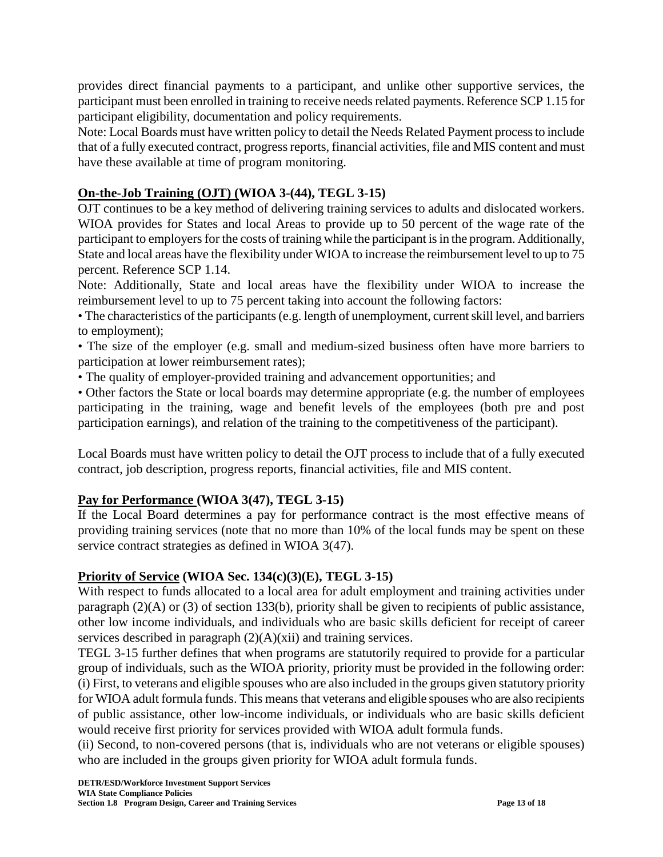provides direct financial payments to a participant, and unlike other supportive services, the participant must been enrolled in training to receive needs related payments. Reference SCP 1.15 for participant eligibility, documentation and policy requirements.

Note: Local Boards must have written policy to detail the Needs Related Payment process to include that of a fully executed contract, progress reports, financial activities, file and MIS content and must have these available at time of program monitoring.

### **On-the-Job Training (OJT) (WIOA 3-(44), TEGL 3-15)**

OJT continues to be a key method of delivering training services to adults and dislocated workers. WIOA provides for States and local Areas to provide up to 50 percent of the wage rate of the participant to employers for the costs of training while the participant is in the program. Additionally, State and local areas have the flexibility under WIOA to increase the reimbursement level to up to 75 percent. Reference SCP 1.14.

Note: Additionally, State and local areas have the flexibility under WIOA to increase the reimbursement level to up to 75 percent taking into account the following factors:

• The characteristics of the participants (e.g. length of unemployment, current skill level, and barriers to employment);

• The size of the employer (e.g. small and medium-sized business often have more barriers to participation at lower reimbursement rates);

• The quality of employer-provided training and advancement opportunities; and

• Other factors the State or local boards may determine appropriate (e.g. the number of employees participating in the training, wage and benefit levels of the employees (both pre and post participation earnings), and relation of the training to the competitiveness of the participant).

Local Boards must have written policy to detail the OJT process to include that of a fully executed contract, job description, progress reports, financial activities, file and MIS content.

### **Pay for Performance (WIOA 3(47), TEGL 3-15)**

If the Local Board determines a pay for performance contract is the most effective means of providing training services (note that no more than 10% of the local funds may be spent on these service contract strategies as defined in WIOA 3(47).

### **Priority of Service (WIOA Sec. 134(c)(3)(E), TEGL 3-15)**

With respect to funds allocated to a local area for adult employment and training activities under paragraph (2)(A) or (3) of section 133(b), priority shall be given to recipients of public assistance, other low income individuals, and individuals who are basic skills deficient for receipt of career services described in paragraph  $(2)(A)(xii)$  and training services.

TEGL 3-15 further defines that when programs are statutorily required to provide for a particular group of individuals, such as the WIOA priority, priority must be provided in the following order: (i) First, to veterans and eligible spouses who are also included in the groups given statutory priority for WIOA adult formula funds. This means that veterans and eligible spouses who are also recipients of public assistance, other low-income individuals, or individuals who are basic skills deficient would receive first priority for services provided with WIOA adult formula funds.

(ii) Second, to non-covered persons (that is, individuals who are not veterans or eligible spouses) who are included in the groups given priority for WIOA adult formula funds.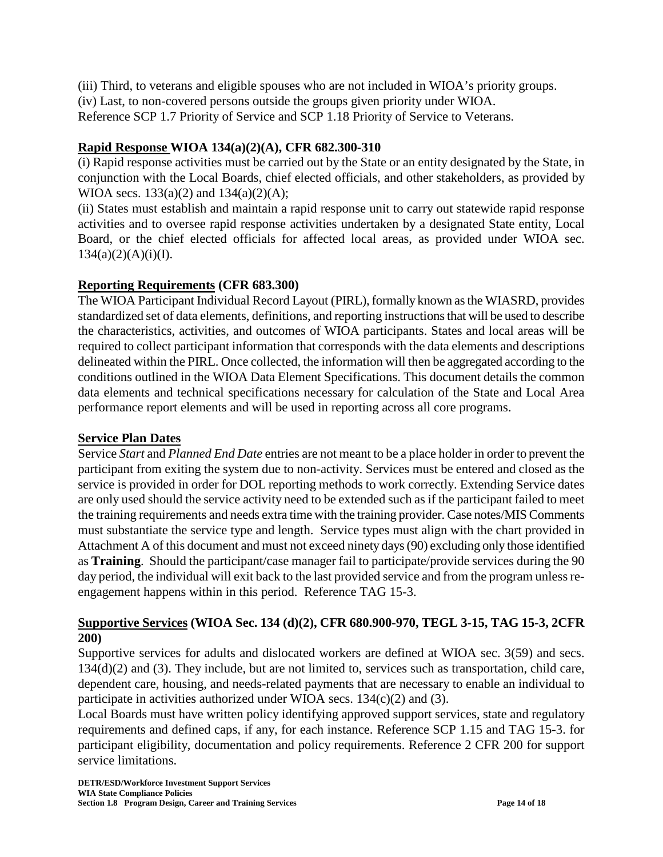(iii) Third, to veterans and eligible spouses who are not included in WIOA's priority groups.

(iv) Last, to non-covered persons outside the groups given priority under WIOA.

Reference SCP 1.7 Priority of Service and SCP 1.18 Priority of Service to Veterans.

### **Rapid Response WIOA 134(a)(2)(A), CFR 682.300-310**

(i) Rapid response activities must be carried out by the State or an entity designated by the State, in conjunction with the Local Boards, chief elected officials, and other stakeholders, as provided by WIOA secs.  $133(a)(2)$  and  $134(a)(2)(A)$ ;

(ii) States must establish and maintain a rapid response unit to carry out statewide rapid response activities and to oversee rapid response activities undertaken by a designated State entity, Local Board, or the chief elected officials for affected local areas, as provided under WIOA sec.  $134(a)(2)(A)(i)(I).$ 

### **Reporting Requirements (CFR 683.300)**

The WIOA Participant Individual Record Layout (PIRL), formally known as the WIASRD, provides standardized set of data elements, definitions, and reporting instructions that will be used to describe the characteristics, activities, and outcomes of WIOA participants. States and local areas will be required to collect participant information that corresponds with the data elements and descriptions delineated within the PIRL. Once collected, the information will then be aggregated according to the conditions outlined in the WIOA Data Element Specifications. This document details the common data elements and technical specifications necessary for calculation of the State and Local Area performance report elements and will be used in reporting across all core programs.

### **Service Plan Dates**

Service *Start* and *Planned End Date* entries are not meant to be a place holder in order to prevent the participant from exiting the system due to non-activity. Services must be entered and closed as the service is provided in order for DOL reporting methods to work correctly. Extending Service dates are only used should the service activity need to be extended such as if the participant failed to meet the training requirements and needs extra time with the training provider. Case notes/MIS Comments must substantiate the service type and length. Service types must align with the chart provided in Attachment A of this document and must not exceed ninety days (90) excluding only those identified as **Training**. Should the participant/case manager fail to participate/provide services during the 90 day period, the individual will exit back to the last provided service and from the program unless reengagement happens within in this period. Reference TAG 15-3.

### **Supportive Services (WIOA Sec. 134 (d)(2), CFR 680.900-970, TEGL 3-15, TAG 15-3, 2CFR 200)**

Supportive services for adults and dislocated workers are defined at WIOA sec. 3(59) and secs. 134(d)(2) and (3). They include, but are not limited to, services such as transportation, child care, dependent care, housing, and needs-related payments that are necessary to enable an individual to participate in activities authorized under WIOA secs. 134(c)(2) and (3).

Local Boards must have written policy identifying approved support services, state and regulatory requirements and defined caps, if any, for each instance. Reference SCP 1.15 and TAG 15-3. for participant eligibility, documentation and policy requirements. Reference 2 CFR 200 for support service limitations.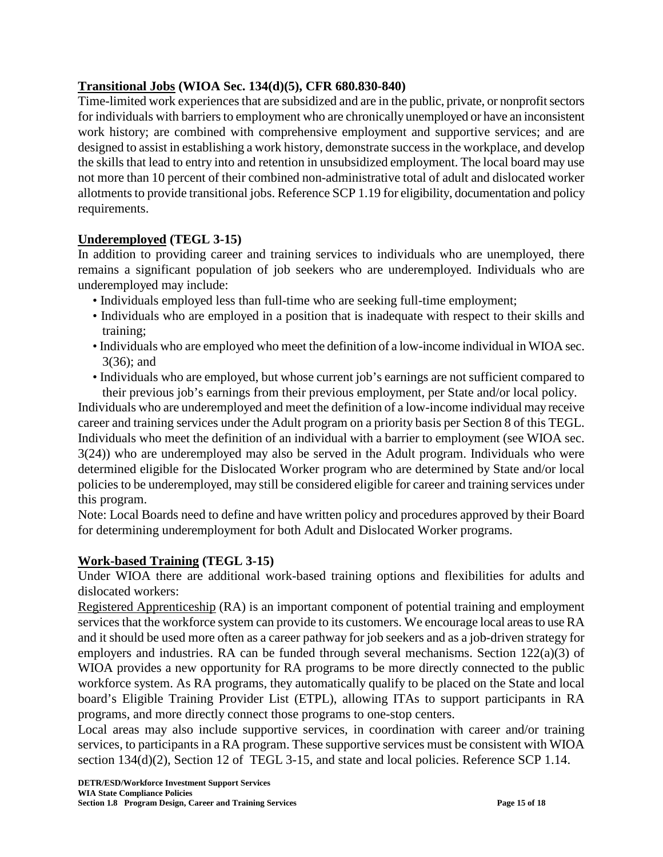### **Transitional Jobs (WIOA Sec. 134(d)(5), CFR 680.830-840)**

Time-limited work experiences that are subsidized and are in the public, private, or nonprofit sectors for individuals with barriers to employment who are chronically unemployed or have an inconsistent work history; are combined with comprehensive employment and supportive services; and are designed to assist in establishing a work history, demonstrate success in the workplace, and develop the skills that lead to entry into and retention in unsubsidized employment. The local board may use not more than 10 percent of their combined non-administrative total of adult and dislocated worker allotments to provide transitional jobs. Reference SCP 1.19 for eligibility, documentation and policy requirements.

### **Underemployed (TEGL 3-15)**

In addition to providing career and training services to individuals who are unemployed, there remains a significant population of job seekers who are underemployed. Individuals who are underemployed may include:

- Individuals employed less than full-time who are seeking full-time employment;
- Individuals who are employed in a position that is inadequate with respect to their skills and training;
- Individuals who are employed who meet the definition of a low-income individual in WIOA sec. 3(36); and
- Individuals who are employed, but whose current job's earnings are not sufficient compared to their previous job's earnings from their previous employment, per State and/or local policy.

Individuals who are underemployed and meet the definition of a low-income individual may receive career and training services under the Adult program on a priority basis per Section 8 of this TEGL. Individuals who meet the definition of an individual with a barrier to employment (see WIOA sec. 3(24)) who are underemployed may also be served in the Adult program. Individuals who were determined eligible for the Dislocated Worker program who are determined by State and/or local policies to be underemployed, may still be considered eligible for career and training services under this program.

Note: Local Boards need to define and have written policy and procedures approved by their Board for determining underemployment for both Adult and Dislocated Worker programs.

### **Work-based Training (TEGL 3-15)**

Under WIOA there are additional work-based training options and flexibilities for adults and dislocated workers:

Registered Apprenticeship (RA) is an important component of potential training and employment services that the workforce system can provide to its customers. We encourage local areas to use RA and it should be used more often as a career pathway for job seekers and as a job-driven strategy for employers and industries. RA can be funded through several mechanisms. Section 122(a)(3) of WIOA provides a new opportunity for RA programs to be more directly connected to the public workforce system. As RA programs, they automatically qualify to be placed on the State and local board's Eligible Training Provider List (ETPL), allowing ITAs to support participants in RA programs, and more directly connect those programs to one-stop centers.

Local areas may also include supportive services, in coordination with career and/or training services, to participants in a RA program. These supportive services must be consistent with WIOA section 134(d)(2), Section 12 of TEGL 3-15, and state and local policies. Reference SCP 1.14.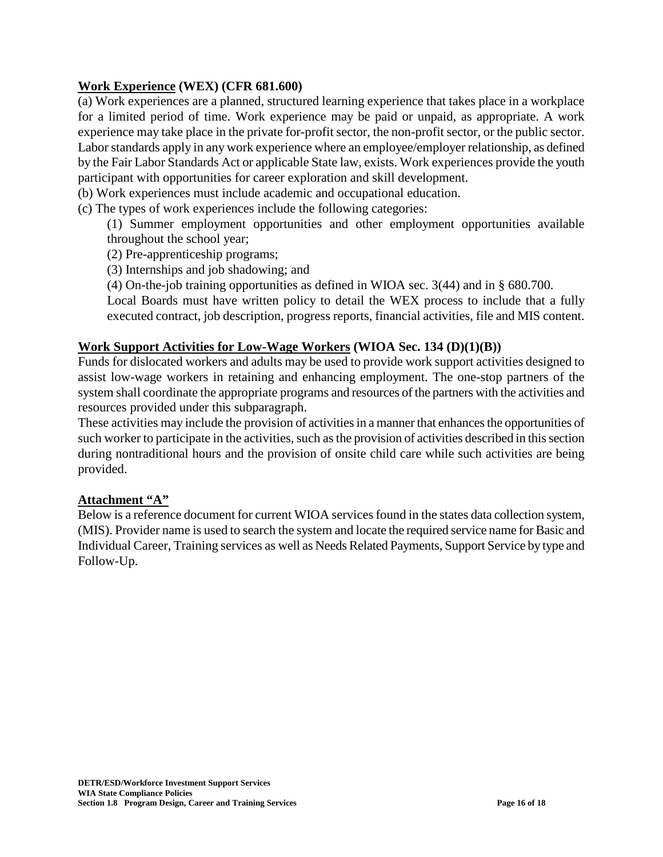#### **Work Experience (WEX) (CFR 681.600)**

(a) Work experiences are a planned, structured learning experience that takes place in a workplace for a limited period of time. Work experience may be paid or unpaid, as appropriate. A work experience may take place in the private for-profit sector, the non-profit sector, or the public sector. Labor standards apply in any work experience where an employee/employer relationship, as defined by the Fair Labor Standards Act or applicable State law, exists. Work experiences provide the youth participant with opportunities for career exploration and skill development.

(b) Work experiences must include academic and occupational education.

(c) The types of work experiences include the following categories:

(1) Summer employment opportunities and other employment opportunities available throughout the school year;

(2) Pre-apprenticeship programs;

(3) Internships and job shadowing; and

(4) On-the-job training opportunities as defined in WIOA sec. 3(44) and in § 680.700.

Local Boards must have written policy to detail the WEX process to include that a fully executed contract, job description, progress reports, financial activities, file and MIS content.

#### **Work Support Activities for Low-Wage Workers (WIOA Sec. 134 (D)(1)(B))**

Funds for dislocated workers and adults may be used to provide work support activities designed to assist low-wage workers in retaining and enhancing employment. The one-stop partners of the system shall coordinate the appropriate programs and resources of the partners with the activities and resources provided under this subparagraph.

These activities may include the provision of activities in a manner that enhances the opportunities of such worker to participate in the activities, such as the provision of activities described in this section during nontraditional hours and the provision of onsite child care while such activities are being provided.

#### **Attachment "A"**

Below is a reference document for current WIOA services found in the states data collection system, (MIS). Provider name is used to search the system and locate the required service name for Basic and Individual Career, Training services as well as Needs Related Payments, Support Service by type and Follow-Up.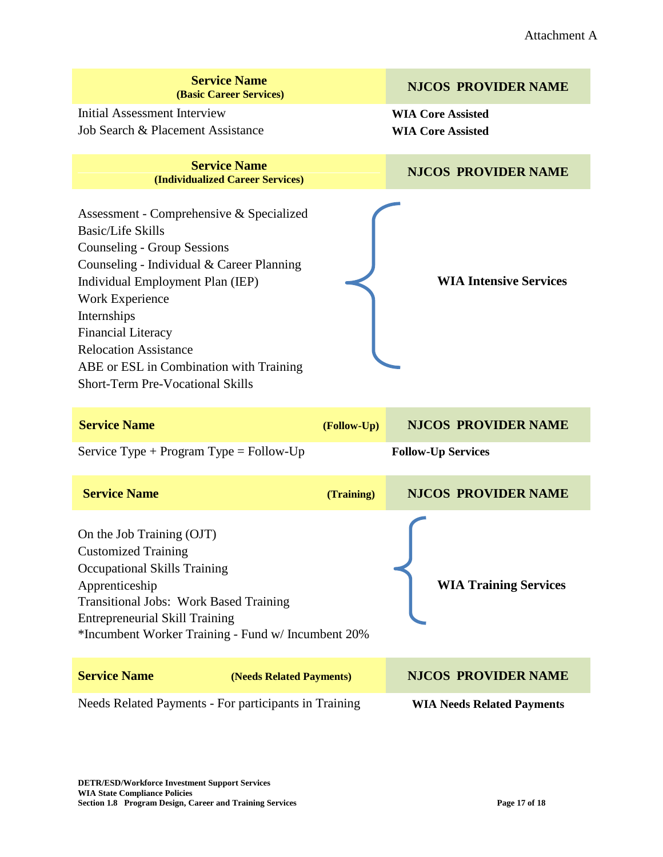| <b>Service Name</b><br>(Basic Career Services)                                                                                                                                                                                                                                                                                                                                   |             | <b>NJCOS PROVIDER NAME</b>                           |
|----------------------------------------------------------------------------------------------------------------------------------------------------------------------------------------------------------------------------------------------------------------------------------------------------------------------------------------------------------------------------------|-------------|------------------------------------------------------|
| Initial Assessment Interview<br>Job Search & Placement Assistance                                                                                                                                                                                                                                                                                                                |             | <b>WIA Core Assisted</b><br><b>WIA Core Assisted</b> |
| <b>Service Name</b><br>(Individualized Career Services)                                                                                                                                                                                                                                                                                                                          |             | <b>NJCOS PROVIDER NAME</b>                           |
| Assessment - Comprehensive & Specialized<br><b>Basic/Life Skills</b><br><b>Counseling - Group Sessions</b><br>Counseling - Individual & Career Planning<br>Individual Employment Plan (IEP)<br>Work Experience<br>Internships<br><b>Financial Literacy</b><br><b>Relocation Assistance</b><br>ABE or ESL in Combination with Training<br><b>Short-Term Pre-Vocational Skills</b> |             | <b>WIA Intensive Services</b>                        |
| <b>Service Name</b>                                                                                                                                                                                                                                                                                                                                                              | (Follow-Up) | <b>NJCOS PROVIDER NAME</b>                           |
| Service Type + Program Type = Follow-Up                                                                                                                                                                                                                                                                                                                                          |             | <b>Follow-Up Services</b>                            |
| <b>Service Name</b>                                                                                                                                                                                                                                                                                                                                                              | (Training)  | <b>NJCOS PROVIDER NAME</b>                           |
| On the Job Training (OJT)<br><b>Customized Training</b><br><b>Occupational Skills Training</b><br>Apprenticeship<br>Transitional Jobs: Work Based Training<br><b>Entrepreneurial Skill Training</b><br>*Incumbent Worker Training - Fund w/ Incumbent 20%                                                                                                                        |             | <b>WIA Training Services</b>                         |
| <b>Service Name</b><br>(Needs Related Payments)                                                                                                                                                                                                                                                                                                                                  |             | <b>NJCOS PROVIDER NAME</b>                           |
| Needs Related Payments - For participants in Training                                                                                                                                                                                                                                                                                                                            |             | <b>WIA Needs Related Payments</b>                    |